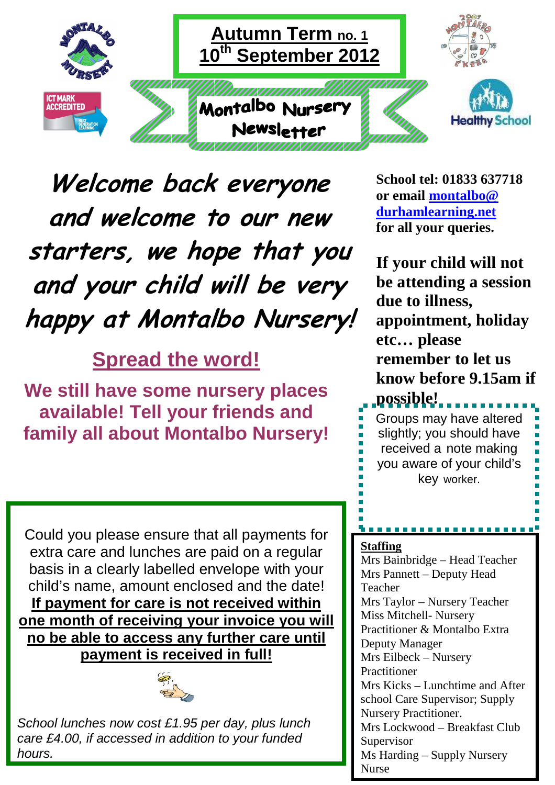

 **Welcome back everyone and welcome to our new starters, we hope that you and your child will be very happy at Montalbo Nursery!** 

**Spread the word!**

**We still have some nursery places available! Tell your friends and family all about Montalbo Nursery!** 

**School tel: 01833 637718 or email montalbo@ durhamlearning.net for all your queries.** 

**If your child will not be attending a session due to illness, appointment, holiday etc… please remember to let us know before 9.15am if possible!** 

Groups may have altered slightly; you should have received a note making you aware of your child's key worker.

. . . . . . . . . . . . .

Could you please ensure that all payments for extra care and lunches are paid on a regular basis in a clearly labelled envelope with your child's name, amount enclosed and the date! **If payment for care is not received within one month of receiving your invoice you will no be able to access any further care until payment is received in full!**



School lunches now cost £1.95 per day, plus lunch care £4.00, if accessed in addition to your funded hours.

## **Staffing**

Mrs Bainbridge – Head Teacher Mrs Pannett – Deputy Head Teacher Mrs Taylor – Nursery Teacher Miss Mitchell- Nursery Practitioner & Montalbo Extra Deputy Manager Mrs Eilbeck – Nursery Practitioner Mrs Kicks – Lunchtime and After school Care Supervisor; Supply Nursery Practitioner. Mrs Lockwood – Breakfast Club Supervisor Ms Harding – Supply Nursery Nurse